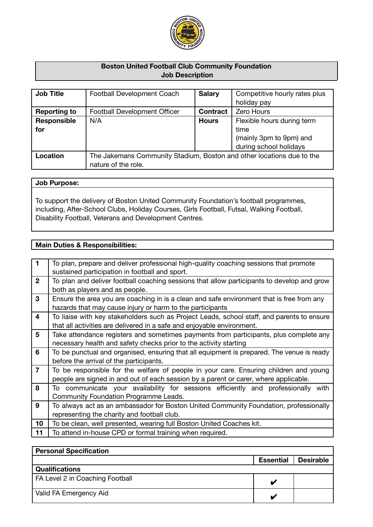

# **Boston United Football Club Community Foundation Job Description**

| <b>Job Title</b>    | Football Development Coach                                                                   | <b>Salary</b>   | Competitive hourly rates plus<br>holiday pay                                            |
|---------------------|----------------------------------------------------------------------------------------------|-----------------|-----------------------------------------------------------------------------------------|
| <b>Reporting to</b> | <b>Football Development Officer</b>                                                          | <b>Contract</b> | <b>Zero Hours</b>                                                                       |
| Responsible<br>for  | N/A                                                                                          | <b>Hours</b>    | Flexible hours during term<br>time<br>(mainly 3pm to 9pm) and<br>during school holidays |
| Location            | The Jakemans Community Stadium, Boston and other locations due to the<br>nature of the role. |                 |                                                                                         |

### **Job Purpose:**

To support the delivery of Boston United Community Foundation's football programmes, including, After-School Clubs, Holiday Courses, Girls Football, Futsal, Walking Football, Disability Football, Veterans and Development Centres.

# **Main Duties & Responsibilities:**

| $\mathbf{1}$   | To plan, prepare and deliver professional high-quality coaching sessions that promote      |
|----------------|--------------------------------------------------------------------------------------------|
|                | sustained participation in football and sport.                                             |
| $\overline{2}$ | To plan and deliver football coaching sessions that allow participants to develop and grow |
|                | both as players and as people.                                                             |
| 3              | Ensure the area you are coaching in is a clean and safe environment that is free from any  |
|                | hazards that may cause injury or harm to the participants                                  |
| 4              | To liaise with key stakeholders such as Project Leads, school staff, and parents to ensure |
|                | that all activities are delivered in a safe and enjoyable environment.                     |
| 5              | Take attendance registers and sometimes payments from participants, plus complete any      |
|                | necessary health and safety checks prior to the activity starting                          |
| 6              | To be punctual and organised, ensuring that all equipment is prepared. The venue is ready  |
|                | before the arrival of the participants.                                                    |
| $\overline{7}$ | To be responsible for the welfare of people in your care. Ensuring children and young      |
|                | people are signed in and out of each session by a parent or carer, where applicable.       |
| 8              | To communicate your availability for sessions efficiently and professionally with          |
|                | Community Foundation Programme Leads.                                                      |
| 9              | To always act as an ambassador for Boston United Community Foundation, professionally      |
|                | representing the charity and football club.                                                |
| 10             | To be clean, well presented, wearing full Boston United Coaches kit.                       |
| 11             | To attend in-house CPD or formal training when required.                                   |

| <b>Personal Specification</b>   |                  |                  |
|---------------------------------|------------------|------------------|
|                                 | <b>Essential</b> | <b>Desirable</b> |
| <b>Qualifications</b>           |                  |                  |
| FA Level 2 in Coaching Football |                  |                  |
| Valid FA Emergency Aid          | v                |                  |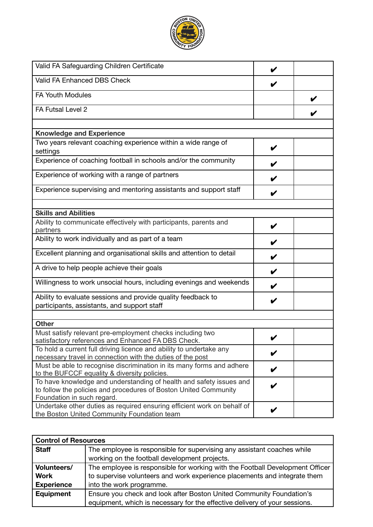

| Valid FA Safeguarding Children Certificate                                                                                              |   |  |
|-----------------------------------------------------------------------------------------------------------------------------------------|---|--|
| Valid FA Enhanced DBS Check                                                                                                             |   |  |
| <b>FA Youth Modules</b>                                                                                                                 |   |  |
| FA Futsal Level 2                                                                                                                       |   |  |
|                                                                                                                                         |   |  |
| <b>Knowledge and Experience</b>                                                                                                         |   |  |
| Two years relevant coaching experience within a wide range of<br>settings                                                               | V |  |
| Experience of coaching football in schools and/or the community                                                                         |   |  |
| Experience of working with a range of partners                                                                                          |   |  |
| Experience supervising and mentoring assistants and support staff                                                                       |   |  |
|                                                                                                                                         |   |  |
| <b>Skills and Abilities</b>                                                                                                             |   |  |
| Ability to communicate effectively with participants, parents and                                                                       | V |  |
| partners                                                                                                                                |   |  |
| Ability to work individually and as part of a team                                                                                      | V |  |
| Excellent planning and organisational skills and attention to detail                                                                    |   |  |
| A drive to help people achieve their goals                                                                                              | V |  |
| Willingness to work unsocial hours, including evenings and weekends                                                                     | V |  |
| Ability to evaluate sessions and provide quality feedback to                                                                            | V |  |
| participants, assistants, and support staff                                                                                             |   |  |
|                                                                                                                                         |   |  |
| <b>Other</b>                                                                                                                            |   |  |
| Must satisfy relevant pre-employment checks including two<br>satisfactory references and Enhanced FA DBS Check.                         |   |  |
| To hold a current full driving licence and ability to undertake any                                                                     | V |  |
| necessary travel in connection with the duties of the post                                                                              |   |  |
| Must be able to recognise discrimination in its many forms and adhere<br>to the BUFCCF equality & diversity policies.                   |   |  |
| To have knowledge and understanding of health and safety issues and<br>to follow the policies and procedures of Boston United Community |   |  |
| Foundation in such regard.                                                                                                              |   |  |
| Undertake other duties as required ensuring efficient work on behalf of                                                                 | V |  |
| the Boston United Community Foundation team                                                                                             |   |  |

| <b>Control of Resources</b> |                                                                               |  |
|-----------------------------|-------------------------------------------------------------------------------|--|
| <b>Staff</b>                | The employee is responsible for supervising any assistant coaches while       |  |
|                             | working on the football development projects.                                 |  |
| Volunteers/                 | The employee is responsible for working with the Football Development Officer |  |
| <b>Work</b>                 | to supervise volunteers and work experience placements and integrate them     |  |
| <b>Experience</b>           | into the work programme.                                                      |  |
| Equipment                   | Ensure you check and look after Boston United Community Foundation's          |  |
|                             | equipment, which is necessary for the effective delivery of your sessions.    |  |